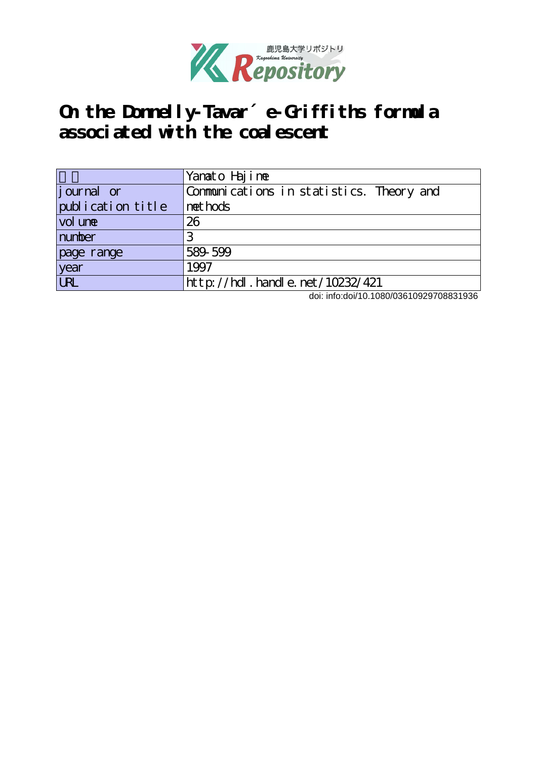

# **On the Donnelly-Tavar´e-Griffiths formula associated with the coalescent**

|                    | Yamato Hajime                            |
|--------------------|------------------------------------------|
| <i>j</i> ournal or | Communications in statistics. Theory and |
| publication title  | net hods                                 |
| vol une            | 26                                       |
| number             |                                          |
| page range         | 589-599                                  |
| year               | 1997                                     |
| URL                | http://hdl.handle.net/10232/421          |

doi: info:doi/10.1080/03610929708831936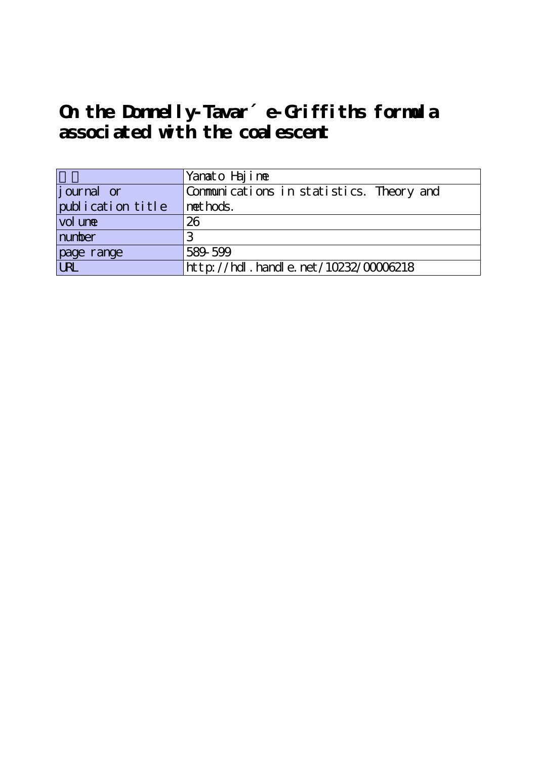# **On the Donnelly-Tavar´e-Griffiths formula associated with the coalescent**

|                   | Yanato Hajime                            |
|-------------------|------------------------------------------|
| journal or        | Communications in statistics. Theory and |
| publication title | net hods.                                |
| vol une           | 26                                       |
| number            |                                          |
|                   | 589-599                                  |
| page range        | http://hdl.handle.net/10232/00006218     |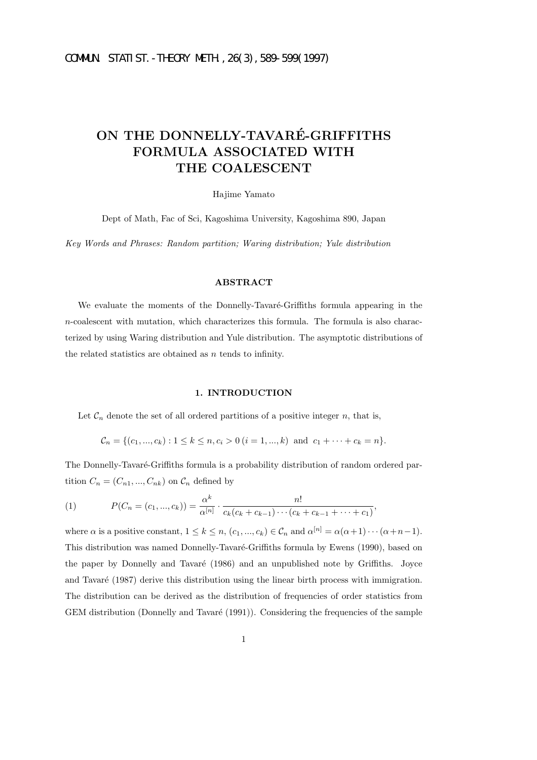# **ON THE DONNELLY-TAVARE-GRIFFITHS ´ FORMULA ASSOCIATED WITH THE COALESCENT**

Hajime Yamato

Dept of Math, Fac of Sci, Kagoshima University, Kagoshima 890, Japan

*Key Words and Phrases: Random partition; Waring distribution; Yule distribution*

# **ABSTRACT**

We evaluate the moments of the Donnelly-Tavaré-Griffiths formula appearing in the  $n$ -coalescent with mutation, which characterizes this formula. The formula is also characterized by using Waring distribution and Yule distribution. The asymptotic distributions of the related statistics are obtained as  $n$  tends to infinity.

## **1. INTRODUCTION**

Let  $\mathcal{C}_n$  denote the set of all ordered partitions of a positive integer  $n$ , that is,

$$
\mathcal{C}_n = \{ (c_1, ..., c_k) : 1 \le k \le n, c_i > 0 \ (i = 1, ..., k) \text{ and } c_1 + \cdots + c_k = n \}.
$$

The Donnelly-Tavaré-Griffiths formula is a probability distribution of random ordered partition  $C_n = (C_{n1}, ..., C_{nk})$  on  $C_n$  defined by

(1) 
$$
P(C_n = (c_1, ..., c_k)) = \frac{\alpha^k}{\alpha^{[n]}} \cdot \frac{n!}{c_k(c_k + c_{k-1}) \cdots (c_k + c_{k-1} + \cdots + c_1)},
$$

where  $\alpha$  is a positive constant,  $1 \leq k \leq n$ ,  $(c_1, ..., c_k) \in C_n$  and  $\alpha^{[n]} = \alpha(\alpha+1) \cdots (\alpha+n-1)$ . This distribution was named Donnelly-Tavaré-Griffiths formula by Ewens (1990), based on the paper by Donnelly and Tavaré (1986) and an unpublished note by Griffiths. Joyce and Tavaré (1987) derive this distribution using the linear birth process with immigration. The distribution can be derived as the distribution of frequencies of order statistics from GEM distribution (Donnelly and Tavaré (1991)). Considering the frequencies of the sample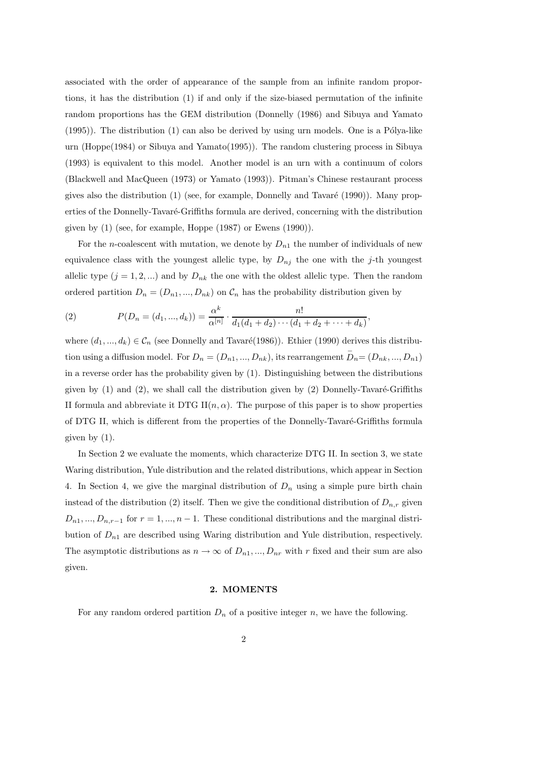associated with the order of appearance of the sample from an infinite random proportions, it has the distribution (1) if and only if the size-biased permutation of the infinite random proportions has the GEM distribution (Donnelly (1986) and Sibuya and Yamato  $(1995)$ ). The distribution  $(1)$  can also be derived by using urn models. One is a Pólya-like urn (Hoppe(1984) or Sibuya and Yamato(1995)). The random clustering process in Sibuya (1993) is equivalent to this model. Another model is an urn with a continuum of colors (Blackwell and MacQueen (1973) or Yamato (1993)). Pitman's Chinese restaurant process gives also the distribution  $(1)$  (see, for example, Donnelly and Tavaré  $(1990)$ ). Many properties of the Donnelly-Tavaré-Griffiths formula are derived, concerning with the distribution given by (1) (see, for example, Hoppe (1987) or Ewens (1990)).

For the *n*-coalescent with mutation, we denote by  $D_{n_1}$  the number of individuals of new equivalence class with the youngest allelic type, by  $D_{nj}$  the one with the j-th youngest allelic type  $(j = 1, 2, ...)$  and by  $D_{nk}$  the one with the oldest allelic type. Then the random ordered partition  $D_n = (D_{n1},...,D_{nk})$  on  $\mathcal{C}_n$  has the probability distribution given by

(2) 
$$
P(D_n = (d_1, ..., d_k)) = \frac{\alpha^k}{\alpha^{[n]}} \cdot \frac{n!}{d_1(d_1 + d_2) \cdots (d_1 + d_2 + \cdots + d_k)},
$$

where  $(d_1, ..., d_k) \in C_n$  (see Donnelly and Tavaré(1986)). Ethier (1990) derives this distribution using a diffusion model. For  $D_n = (D_{n1}, ..., D_{nk})$ , its rearrangement  $D_n = (D_{nk}, ..., D_{n1})$ in a reverse order has the probability given by (1). Distinguishing between the distributions given by  $(1)$  and  $(2)$ , we shall call the distribution given by  $(2)$  Donnelly-Tavaré-Griffiths II formula and abbreviate it DTG II $(n, \alpha)$ . The purpose of this paper is to show properties of DTG II, which is different from the properties of the Donnelly-Tavaré-Griffiths formula given by (1).

In Section 2 we evaluate the moments, which characterize DTG II. In section 3, we state Waring distribution, Yule distribution and the related distributions, which appear in Section 4. In Section 4, we give the marginal distribution of  $D_n$  using a simple pure birth chain instead of the distribution (2) itself. Then we give the conditional distribution of  $D_{n,r}$  given  $D_{n1},...,D_{n,r-1}$  for  $r=1,...,n-1$ . These conditional distributions and the marginal distribution of D*n*<sup>1</sup> are described using Waring distribution and Yule distribution, respectively. The asymptotic distributions as  $n \to \infty$  of  $D_{n1},..., D_{nr}$  with r fixed and their sum are also given.

#### **2. MOMENTS**

For any random ordered partition  $D_n$  of a positive integer n, we have the following.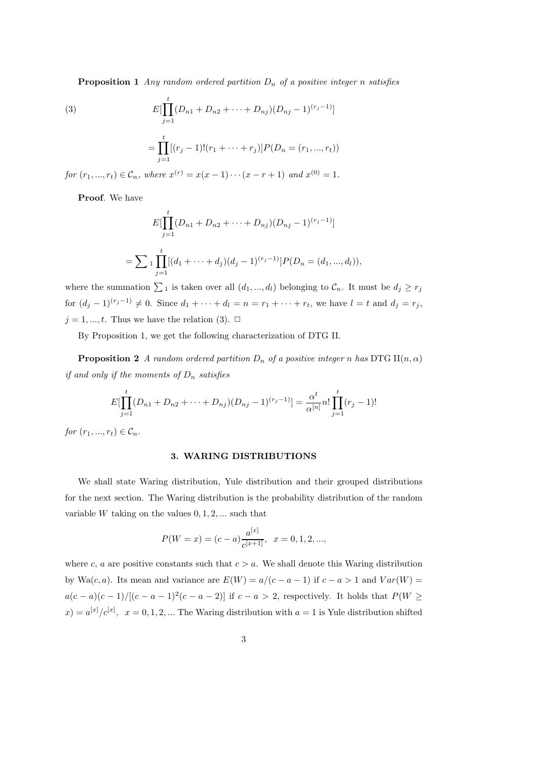**Proposition 1** *Any random ordered partition* D*<sup>n</sup> of a positive integer* n *satisfies*

(3)  

$$
E[\prod_{j=1}^{t} (D_{n1} + D_{n2} + \dots + D_{nj})(D_{nj} - 1)^{(r_j - 1)}]
$$

$$
= \prod_{j=1}^{t} [(r_j - 1)!(r_1 + \dots + r_j)]P(D_n = (r_1, ..., r_t))
$$

*for*  $(r_1, ..., r_t) \in C_n$ , *where*  $x^{(r)} = x(x - 1) \cdots (x - r + 1)$  *and*  $x^{(0)} = 1$ *.* 

**Proof**. We have

$$
E[\prod_{j=1}^{t} (D_{n1} + D_{n2} + \cdots + D_{nj})(D_{nj} - 1)^{(r_j - 1)}]
$$
  
= 
$$
\sum_{j=1}^{t} \prod_{j=1}^{t} [(d_1 + \cdots + d_j)(d_j - 1)^{(r_j - 1)}] P(D_n = (d_1, ..., d_l)),
$$

where the summation  $\sum_1$  is taken over all  $(d_1, ..., d_l)$  belonging to  $C_n$ . It must be  $d_j \ge r_j$ for  $(d_j - 1)^{(r_j - 1)} \neq 0$ . Since  $d_1 + \cdots + d_l = n = r_1 + \cdots + r_t$ , we have  $l = t$  and  $d_j = r_j$ ,  $j = 1, ..., t$ . Thus we have the relation (3).  $\Box$ 

By Proposition 1, we get the following characterization of DTG II.

**Proposition 2** *A random ordered partition*  $D_n$  *of a positive integer n has* DTG II(*n,*  $\alpha$ ) *if and only if the moments of* D*<sup>n</sup> satisfies*

$$
E[\prod_{j=1}^{t} (D_{n1} + D_{n2} + \cdots + D_{nj})(D_{nj} - 1)^{(r_j - 1)}] = \frac{\alpha^t}{\alpha^{[n]}} n! \prod_{j=1}^{t} (r_j - 1)!
$$

*for*  $(r_1, ..., r_t) \in C_n$ .

#### **3. WARING DISTRIBUTIONS**

We shall state Waring distribution, Yule distribution and their grouped distributions for the next section. The Waring distribution is the probability distribution of the random variable  $W$  taking on the values  $0, 1, 2, \ldots$  such that

$$
P(W = x) = (c - a) \frac{a^{[x]}}{c^{[x+1]}}, \quad x = 0, 1, 2, ...,
$$

where c, a are positive constants such that  $c > a$ . We shall denote this Waring distribution by Wa $(c, a)$ . Its mean and variance are  $E(W) = a/(c - a - 1)$  if  $c - a > 1$  and  $Var(W) =$  $a(c-a)(c-1)/[(c-a-1)^2(c-a-2)]$  if  $c-a>2$ , respectively. It holds that  $P(W \geq$  $f(x) = a^{[x]}/c^{[x]}, \quad x = 0, 1, 2, ...$  The Waring distribution with  $a = 1$  is Yule distribution shifted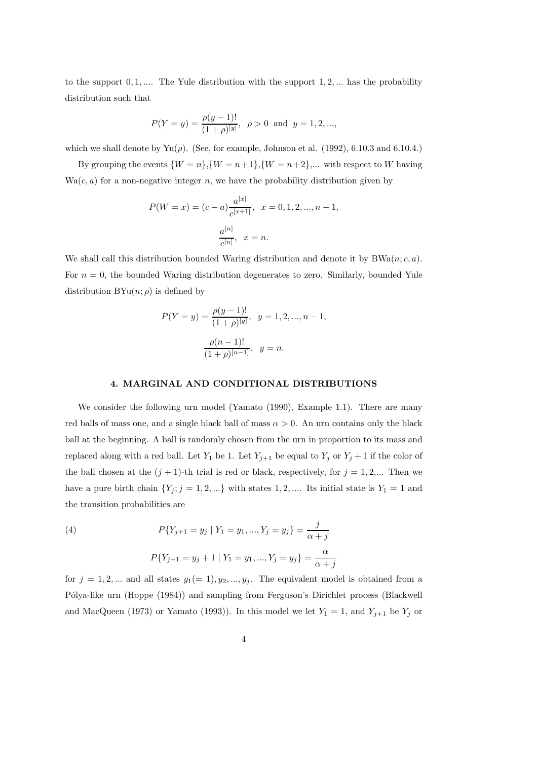to the support  $0, 1, \ldots$  The Yule distribution with the support  $1, 2, \ldots$  has the probability distribution such that

$$
P(Y = y) = \frac{\rho(y-1)!}{(1+\rho)^{[y]}}, \ \rho > 0 \ \text{ and } \ y = 1, 2, ...,
$$

which we shall denote by  $Yu(\rho)$ . (See, for example, Johnson et al. (1992), 6.10.3 and 6.10.4.)

By grouping the events  $\{W = n\}, \{W = n+1\}, \{W = n+2\}, \dots$  with respect to W having  $Wa(c, a)$  for a non-negative integer n, we have the probability distribution given by

$$
P(W = x) = (c - a) \frac{a^{[x]}}{c^{[x+1]}}, \quad x = 0, 1, 2, ..., n - 1,
$$

$$
\frac{a^{[n]}}{c^{[n]}}, \quad x = n.
$$

We shall call this distribution bounded Waring distribution and denote it by  $BWA(n; c, a)$ . For  $n = 0$ , the bounded Waring distribution degenerates to zero. Similarly, bounded Yule distribution  $BYu(n; \rho)$  is defined by

$$
P(Y = y) = \frac{\rho(y - 1)!}{(1 + \rho)^{[y]}}, \ y = 1, 2, ..., n - 1,
$$

$$
\frac{\rho(n - 1)!}{(1 + \rho)^{[n - 1]}}, \ y = n.
$$

### **4. MARGINAL AND CONDITIONAL DISTRIBUTIONS**

We consider the following urn model (Yamato (1990), Example 1.1). There are many red balls of mass one, and a single black ball of mass  $\alpha > 0$ . An urn contains only the black ball at the beginning. A ball is randomly chosen from the urn in proportion to its mass and replaced along with a red ball. Let  $Y_1$  be 1. Let  $Y_{j+1}$  be equal to  $Y_j$  or  $Y_j + 1$  if the color of the ball chosen at the  $(j + 1)$ -th trial is red or black, respectively, for  $j = 1, 2,...$  Then we have a pure birth chain  $\{Y_j; j = 1, 2, ...\}$  with states 1, 2, .... Its initial state is  $Y_1 = 1$  and the transition probabilities are

(4) 
$$
P\{Y_{j+1} = y_j \mid Y_1 = y_1, ..., Y_j = y_j\} = \frac{j}{\alpha + j}
$$

$$
P\{Y_{j+1} = y_j + 1 \mid Y_1 = y_1, ..., Y_j = y_j\} = \frac{\alpha}{\alpha + j}
$$

for  $j = 1, 2, ...$  and all states  $y_1 (= 1), y_2, ..., y_j$ . The equivalent model is obtained from a Pólya-like urn (Hoppe (1984)) and sampling from Ferguson's Dirichlet process (Blackwell and MacQueen (1973) or Yamato (1993)). In this model we let  $Y_1 = 1$ , and  $Y_{j+1}$  be  $Y_j$  or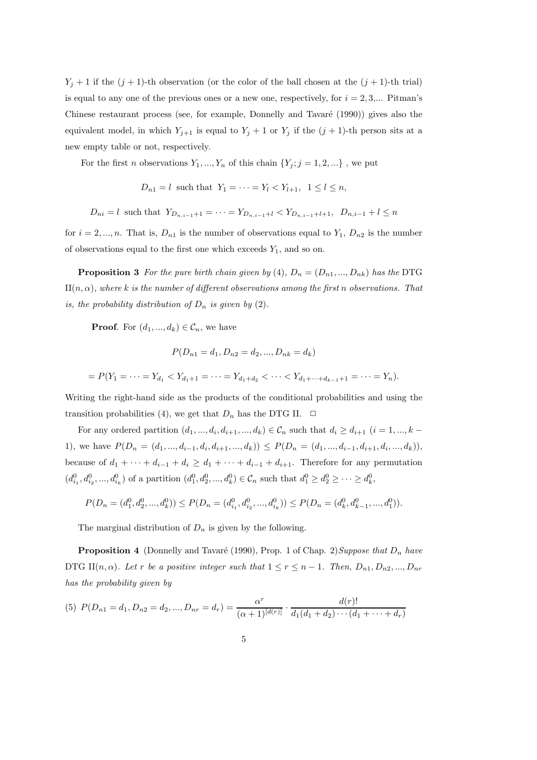$Y_j + 1$  if the  $(j + 1)$ -th observation (or the color of the ball chosen at the  $(j + 1)$ -th trial) is equal to any one of the previous ones or a new one, respectively, for  $i = 2, 3,...$  Pitman's Chinese restaurant process (see, for example, Donnelly and Tavaré (1990)) gives also the equivalent model, in which  $Y_{j+1}$  is equal to  $Y_j + 1$  or  $Y_j$  if the  $(j + 1)$ -th person sits at a new empty table or not, respectively.

For the first *n* observations  $Y_1, ..., Y_n$  of this chain  $\{Y_j; j = 1, 2, ...\}$ , we put

$$
D_{n1} = l \text{ such that } Y_1 = \cdots = Y_l < Y_{l+1}, \quad 1 \le l \le n,
$$

 $D_{ni} = l$  such that  $Y_{D_{ni}} = \cdots = Y_{D_{ni}} = Y_{D_{ni}} = \cdots = Y_{D_{ni}} = \cdots = Y_{D_{ni}} = \cdots = Y_{D_{ni}} = \cdots = Y_{D_{ni}} = \cdots = Y_{D_{ni}} = \cdots = Y_{D_{ni}} = \cdots = Y_{D_{ni}} = \cdots = Y_{D_{ni}} = \cdots = Y_{D_{ni}} = \cdots = Y_{D_{ni}} = \cdots = Y_{D_{ni}} = \cdots = Y_{D_{ni}} = \cdots = Y_{D_{ni}} = \cdots = Y_{D_{ni}} = \cdots = Y_{D_{ni}} = \cdots = Y_{D_{ni}} =$ 

for  $i = 2, ..., n$ . That is,  $D_{n1}$  is the number of observations equal to  $Y_1, D_{n2}$  is the number of observations equal to the first one which exceeds  $Y_1$ , and so on.

**Proposition 3** For the pure birth chain given by (4),  $D_n = (D_{n1},...,D_{nk})$  has the DTG  $II(n, \alpha)$ *, where* k *is the number of different observations among the first n observations. That is, the probability distribution of*  $D_n$  *is given by* (2).

**Proof.** For  $(d_1, ..., d_k) \in C_n$ , we have

$$
P(D_{n1} = d_1, D_{n2} = d_2, ..., D_{nk} = d_k)
$$

$$
= P(Y_1 = \dots = Y_{d_1} < Y_{d_1+1} = \dots = Y_{d_1+d_2} < \dots < Y_{d_1+\dots+d_{k-1}+1} = \dots = Y_n).
$$

Writing the right-hand side as the products of the conditional probabilities and using the transition probabilities (4), we get that  $D_n$  has the DTG II.  $\Box$ 

For any ordered partition  $(d_1, ..., d_i, d_{i+1}, ..., d_k) \in C_n$  such that  $d_i \geq d_{i+1}$   $(i = 1, ..., k - 1)$ 1), we have  $P(D_n = (d_1, ..., d_{i-1}, d_i, d_{i+1}, ..., d_k)) \le P(D_n = (d_1, ..., d_{i-1}, d_{i+1}, d_i, ..., d_k)),$ because of  $d_1 + \cdots + d_{i-1} + d_i \geq d_1 + \cdots + d_{i-1} + d_{i+1}$ . Therefore for any permutation  $(d_{i_1}^0, d_{i_2}^0, ..., d_{i_k}^0)$  of a partition  $(d_1^0, d_2^0, ..., d_k^0) \in \mathcal{C}_n$  such that  $d_1^0 \geq d_2^0 \geq ... \geq d_k^0$ ,

$$
P(D_n = (d_1^0, d_2^0, ..., d_k^0)) \le P(D_n = (d_{i_1}^0, d_{i_2}^0, ..., d_{i_k}^0)) \le P(D_n = (d_k^0, d_{k-1}^0, ..., d_1^0)).
$$

The marginal distribution of  $D_n$  is given by the following.

**Proposition 4** (Donnelly and Tavaré (1990), Prop. 1 of Chap. 2) Suppose that  $D_n$  have DTG II $(n, \alpha)$ *. Let r be a positive integer such that*  $1 \leq r \leq n-1$ *. Then,*  $D_{n1}, D_{n2},..., D_{nr}$ *has the probability given by*

(5) 
$$
P(D_{n1} = d_1, D_{n2} = d_2, ..., D_{nr} = d_r) = \frac{\alpha^r}{(\alpha+1)^{[d(r)]}} \cdot \frac{d(r)!}{d_1(d_1+d_2)\cdots(d_1+\cdots+d_r)}
$$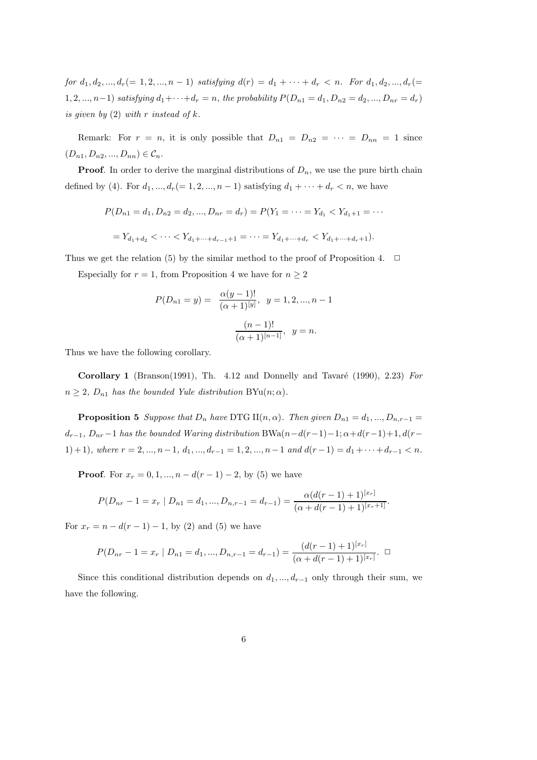*for*  $d_1, d_2, ..., d_r (= 1, 2, ..., n - 1)$  *satisfying*  $d(r) = d_1 + \cdots + d_r < n$ . For  $d_1, d_2, ..., d_r (=$ 1, 2, ..., n-1) *satisfying*  $d_1 + \cdots + d_r = n$ , the probability  $P(D_{n1} = d_1, D_{n2} = d_2, ..., D_{nr} = d_r)$ *is given by* (2) *with* r *instead of* k*.*

Remark: For  $r = n$ , it is only possible that  $D_{n1} = D_{n2} = \cdots = D_{nn} = 1$  since  $(D_{n1}, D_{n2}, ..., D_{nn}) \in C_n$ .

**Proof**. In order to derive the marginal distributions of  $D_n$ , we use the pure birth chain defined by (4). For  $d_1, ..., d_r (= 1, 2, ..., n - 1)$  satisfying  $d_1 + ... + d_r < n$ , we have

$$
P(D_{n1} = d_1, D_{n2} = d_2, ..., D_{nr} = d_r) = P(Y_1 = \cdots = Y_{d_1} < Y_{d_1+1} = \cdots)
$$

$$
= Y_{d_1+d_2} < \cdots < Y_{d_1+\cdots+d_{r-1}+1} = \cdots = Y_{d_1+\cdots+d_r} < Y_{d_1+\cdots+d_r+1}.
$$

Thus we get the relation (5) by the similar method to the proof of Proposition 4.  $\Box$ 

Especially for  $r = 1$ , from Proposition 4 we have for  $n \geq 2$ 

$$
P(D_{n1} = y) = \frac{\alpha(y-1)!}{(\alpha+1)^{[y]}}, \ y = 1, 2, ..., n-1
$$

$$
\frac{(n-1)!}{(\alpha+1)^{[n-1]}}, \ y = n.
$$

Thus we have the following corollary.

**Corollary 1** (Branson(1991), Th. 4.12 and Donnelly and Tavaré (1990), 2.23) *For*  $n \geq 2$ ,  $D_{n1}$  has the bounded Yule distribution BYu $(n; \alpha)$ .

**Proposition 5** *Suppose that*  $D_n$  *have* DTG II $(n, \alpha)$ *. Then given*  $D_{n1} = d_1, ..., D_{n,r-1}$  $d_{r-1}, D_{nr}-1$  has the bounded Waring distribution BWa $(n-d(r-1)-1; \alpha+d(r-1)+1, d(r-1))$ 1) + 1)*,* where  $r = 2, ..., n-1, d_1, ..., d_{r-1} = 1, 2, ..., n-1$  and  $d(r-1) = d_1 + \cdots + d_{r-1} < n$ .

**Proof.** For  $x_r = 0, 1, ..., n - d(r - 1) - 2$ , by (5) we have

$$
P(D_{nr}-1=x_r | D_{n1}=d_1,...,D_{n,r-1}=d_{r-1})=\frac{\alpha (d(r-1)+1)^{[x_r]}}{(\alpha+d(r-1)+1)^{[x_r+1]}}.
$$

For  $x_r = n - d(r - 1) - 1$ , by (2) and (5) we have

$$
P(D_{nr} - 1 = x_r | D_{n1} = d_1, ..., D_{n,r-1} = d_{r-1}) = \frac{(d(r-1) + 1)^{[x_r]}}{(\alpha + d(r-1) + 1)^{[x_r]}}. \quad \Box
$$

Since this conditional distribution depends on  $d_1, ..., d_{r-1}$  only through their sum, we have the following.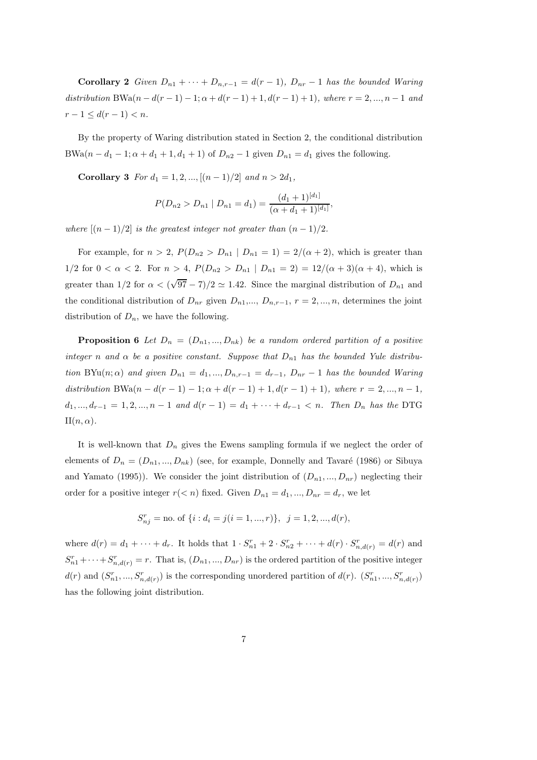**Corollary 2**  $Given D_{n1} + \cdots + D_{n,r-1} = d(r-1), D_{nr} - 1$  has the bounded Waring *distribution* BWa $(n - d(r - 1) - 1; \alpha + d(r - 1) + 1, d(r - 1) + 1)$ *, where*  $r = 2, ..., n - 1$  *and*  $r - 1 \leq d(r - 1) < n$ .

By the property of Waring distribution stated in Section 2, the conditional distribution BWa $(n - d_1 - 1; \alpha + d_1 + 1, d_1 + 1)$  of  $D_{n2} - 1$  given  $D_{n1} = d_1$  gives the following.

**Corollary 3** *For*  $d_1 = 1, 2, ..., [(n-1)/2]$  *and*  $n > 2d_1$ *,* 

$$
P(D_{n2} > D_{n1} | D_{n1} = d_1) = \frac{(d_1 + 1)^{[d_1]}}{(\alpha + d_1 + 1)^{[d_1]}},
$$

*where*  $[(n-1)/2]$  *is the greatest integer not greater than*  $(n-1)/2$ *.* 

For example, for  $n > 2$ ,  $P(D_{n2} > D_{n1} | D_{n1} = 1) = 2/(\alpha + 2)$ , which is greater than 1/2 for  $0 < \alpha < 2$ . For  $n > 4$ ,  $P(D_{n2} > D_{n1} | D_{n1} = 2) = 12/(\alpha + 3)(\alpha + 4)$ , which is greater than  $1/2$  for  $\alpha < (\sqrt{97} - 7)/2 \simeq 1.42$ . Since the marginal distribution of  $D_{n_1}$  and the conditional distribution of  $D_{nr}$  given  $D_{n1},..., D_{n,r-1}, r = 2,...,n$ , determines the joint distribution of  $D_n$ , we have the following.

**Proposition 6** Let  $D_n = (D_{n1},...,D_{nk})$  be a random ordered partition of a positive *integer n* and  $\alpha$  *be a* positive constant. Suppose that  $D_{n_1}$  has the bounded Yule distribu*tion* BYu $(n; \alpha)$  *and given*  $D_{n1} = d_1, ..., D_{n,r-1} = d_{r-1}$ ,  $D_{nr} - 1$  *has the bounded Waring*  $distribution BWA(n - d(r - 1) - 1; \alpha + d(r - 1) + 1, d(r - 1) + 1)$ *, where*  $r = 2, ..., n - 1$ *,*  $d_1, ..., d_{r-1} = 1, 2, ..., n-1$  and  $d(r-1) = d_1 + ... + d_{r-1} < n$ . Then  $D_n$  has the DTG  $II(n, \alpha)$ .

It is well-known that D*<sup>n</sup>* gives the Ewens sampling formula if we neglect the order of elements of  $D_n = (D_{n1},...,D_{nk})$  (see, for example, Donnelly and Tavaré (1986) or Sibuya and Yamato (1995)). We consider the joint distribution of  $(D_{n1},...,D_{nr})$  neglecting their order for a positive integer  $r(< n)$  fixed. Given  $D_{n1} = d_1, ..., D_{nr} = d_r$ , we let

$$
S_{nj}^r =
$$
no. of  $\{i : d_i = j(i = 1, ..., r)\}, j = 1, 2, ..., d(r),$ 

where  $d(r) = d_1 + \cdots + d_r$ . It holds that  $1 \cdot S_{n1}^r + 2 \cdot S_{n2}^r + \cdots + d(r) \cdot S_{n,d(r)}^r = d(r)$  and  $S_{n1}^r + \cdots + S_{n,d(r)}^r = r$ . That is,  $(D_{n1},...,D_{nr})$  is the ordered partition of the positive integer  $d(r)$  and  $(S_{n1}^r, ..., S_{n,d(r)}^r)$  is the corresponding unordered partition of  $d(r)$ .  $(S_{n1}^r, ..., S_{n,d(r)}^r)$ has the following joint distribution.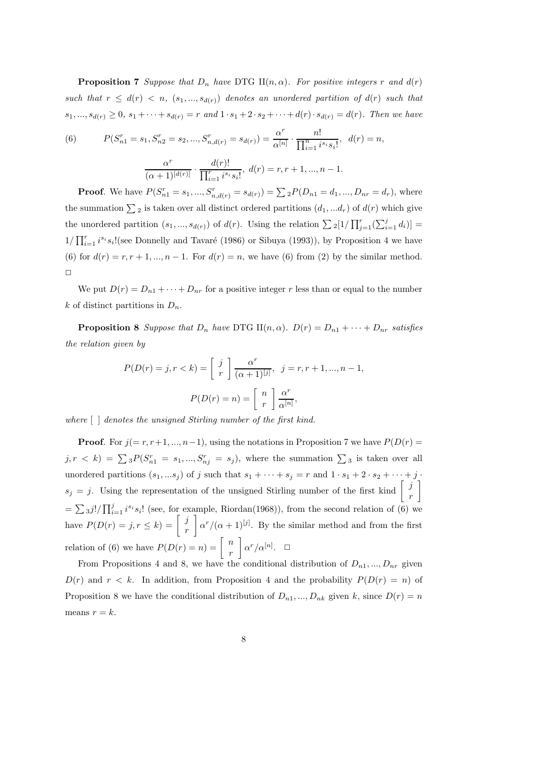**Proposition 7** *Suppose that*  $D_n$  *have* DTG II( $n, \alpha$ )*. For positive integers* r *and*  $d(r)$ *such that*  $r \leq d(r) < n$ ,  $(s_1, ..., s_{d(r)})$  *denotes an unordered partition of*  $d(r)$  *such that*  $s_1, ..., s_{d(r)} \geq 0$ ,  $s_1 + ... + s_{d(r)} = r$  and  $1 \cdot s_1 + 2 \cdot s_2 + ... + d(r) \cdot s_{d(r)} = d(r)$ . Then we have

(6) 
$$
P(S_{n1}^r = s_1, S_{n2}^r = s_2, ..., S_{n,d(r)}^r = s_{d(r)}) = \frac{\alpha^r}{\alpha^{[n]}} \cdot \frac{n!}{\prod_{i=1}^n i^{s_i} s_i!}, \ d(r) = n,
$$

$$
\frac{\alpha^r}{(\alpha+1)^{[d(r)]}} \cdot \frac{d(r)!}{\prod_{i=1}^r i^{s_i} s_i!}, \ d(r) = r, r+1, ..., n-1.
$$

**Proof**. We have  $P(S_{n1}^r = s_1, ..., S_{n,d(r)}^r = s_{d(r)}) = \sum_{n=1}^{n} P(D_{n1} = d_1, ..., D_{nr} = d_r)$ , where the summation  $\sum_2$  is taken over all distinct ordered partitions  $(d_1, ... d_r)$  of  $d(r)$  which give the unordered partition  $(s_1, ..., s_{d(r)})$  of  $d(r)$ . Using the relation  $\sum_{i=1}^{r} [1/\prod_{j=1}^{r}(\sum_{i=1}^{j}d_i)]$  $1/\prod_{i=1}^r i^{s_i} s_i!$  (see Donnelly and Tavaré (1986) or Sibuya (1993)), by Proposition 4 we have (6) for  $d(r) = r, r + 1, \ldots, n - 1$ . For  $d(r) = n$ , we have (6) from (2) by the similar method.  $\Box$ 

We put  $D(r) = D_{n1} + \cdots + D_{nr}$  for a positive integer r less than or equal to the number k of distinct partitions in  $D_n$ .

**Proposition 8** *Suppose that*  $D_n$  *have* DTG II $(n, \alpha)$ *.*  $D(r) = D_{n1} + \cdots + D_{nr}$  *satisfies the relation given by*

$$
P(D(r) = j, r < k) = \begin{bmatrix} j \\ r \end{bmatrix} \frac{\alpha^r}{(\alpha + 1)^{[j]}}, \quad j = r, r + 1, \dots, n - 1,
$$
\n
$$
P(D(r) = n) = \begin{bmatrix} n \\ r \end{bmatrix} \frac{\alpha^r}{\alpha^{[n]}},
$$

*where* [ ] *denotes the unsigned Stirling number of the first kind.*

**Proof.** For  $j(= r, r+1, ..., n-1)$ , using the notations in Proposition 7 we have  $P(D(r) =$  $j, r \leq k$ ) =  $\sum_{i=3}^{n} P(S_{n1}^r = s_1, ..., S_{nj}^r = s_j)$ , where the summation  $\sum_{i=3}^{n} S_i$  is taken over all unordered partitions  $(s_1, ...s_j)$  of j such that  $s_1 + \cdots + s_j = r$  and  $1 \cdot s_1 + 2 \cdot s_2 + \cdots + j$ .  $s_j = j$ . Using the representation of the unsigned Stirling number of the first kind  $\begin{bmatrix} j \\ r \end{bmatrix}$ 1  $=\sum_{i=1}^{\infty} 3^{i}$ <sup>'</sup>/ $\prod_{i=1}^{j} i^{s_i} s_i$ ! (see, for example, Riordan(1968)), from the second relation of (6) we have  $P(D(r) = j, r \le k) = \begin{bmatrix} j \\ r \end{bmatrix}$  $\left[\alpha^{r}/(\alpha+1)^{[j]}\right]$ . By the similar method and from the first relation of (6) we have  $P(D(r) = n) = \begin{bmatrix} n \\ r \end{bmatrix}$  $\int \alpha^r/\alpha^{[n]}$ .  $\Box$ 

From Propositions 4 and 8, we have the conditional distribution of  $D_{n1},...,D_{nr}$  given  $D(r)$  and  $r < k$ . In addition, from Proposition 4 and the probability  $P(D(r) = n)$  of Proposition 8 we have the conditional distribution of  $D_{n1},...,D_{nk}$  given k, since  $D(r) = n$ means  $r = k$ .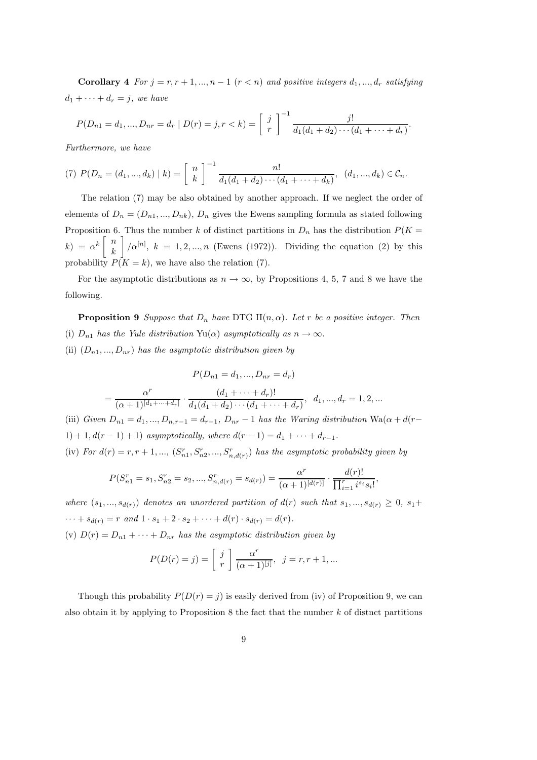**Corollary 4** *For*  $j = r, r + 1, ..., n - 1$  ( $r < n$ ) *and positive integers*  $d_1, ..., d_r$  *satisfying*  $d_1 + \cdots + d_r = j$ *, we have* 

$$
P(D_{n1} = d_1, ..., D_{nr} = d_r \mid D(r) = j, r < k) = \left[ \begin{array}{c} j \\ r \end{array} \right]^{-1} \frac{j!}{d_1(d_1 + d_2) \cdots (d_1 + \cdots + d_r)}.
$$

*Furthermore, we have*

(7) 
$$
P(D_n = (d_1, ..., d_k) | k) = \begin{bmatrix} n \\ k \end{bmatrix}^{-1} \frac{n!}{d_1(d_1 + d_2) \cdots (d_1 + \cdots + d_k)}, (d_1, ..., d_k) \in C_n.
$$

The relation (7) may be also obtained by another approach. If we neglect the order of elements of  $D_n = (D_{n1},...,D_{nk}), D_n$  gives the Ewens sampling formula as stated following Proposition 6. Thus the number k of distinct partitions in  $D_n$  has the distribution  $P(K =$  $k) = \alpha^k \begin{bmatrix} n \\ n \end{bmatrix}$ k  $\left| \int \alpha^{[n]}, k = 1, 2, ..., n \right|$  (Ewens (1972)). Dividing the equation (2) by this probability  $P(K = k)$ , we have also the relation (7).

For the asymptotic distributions as  $n \to \infty$ , by Propositions 4, 5, 7 and 8 we have the following.

**Proposition 9** *Suppose that*  $D_n$  *have* DTG  $\text{II}(n, \alpha)$ *. Let r be a positive integer. Then* (i)  $D_{n1}$  *has the Yule distribution* Yu( $\alpha$ ) *asymptotically as*  $n \to \infty$ *.* (ii)  $(D_{n1},...,D_{nr})$  *has the asymptotic distribution given by* 

$$
P(D_{n1} = d_1, ..., D_{nr} = d_r)
$$

$$
= \frac{\alpha^r}{(\alpha+1)^{[d_1+\cdots+d_r]}} \cdot \frac{(d_1+\cdots+d_r)!}{d_1(d_1+d_2)\cdots(d_1+\cdots+d_r)}, \ \ d_1,...,d_r=1,2,...
$$

(iii) *Given*  $D_{n1} = d_1, ..., D_{n,r-1} = d_{r-1}$ ,  $D_{nr} - 1$  *has the Waring distribution* Wa $(\alpha + d(r -$ 1) + 1,  $d(r - 1) + 1$  *asymptotically, where*  $d(r - 1) = d_1 + \cdots + d_{r-1}$ .

(iv) For  $d(r) = r, r + 1, \ldots$ ,  $(S_{n1}^r, S_{n2}^r, \ldots, S_{n,d(r)}^r)$  has the asymptotic probability given by

$$
P(S_{n1}^r = s_1, S_{n2}^r = s_2, ..., S_{n,d(r)}^r = s_{d(r)}) = \frac{\alpha^r}{(\alpha+1)^{[d(r)]}} \cdot \frac{d(r)!}{\prod_{i=1}^r i^{s_i} s_i!}
$$

,

*where*  $(s_1, ..., s_{d(r)})$  *denotes an unordered partition of*  $d(r)$  *such that*  $s_1, ..., s_{d(r)} \geq 0$ ,  $s_1 +$  $\cdots + s_{d(r)} = r \text{ and } 1 \cdot s_1 + 2 \cdot s_2 + \cdots + d(r) \cdot s_{d(r)} = d(r).$ 

(v)  $D(r) = D_{n1} + \cdots + D_{nr}$  *has the asymptotic distribution given by* 

$$
P(D(r) = j) = \begin{bmatrix} j \\ r \end{bmatrix} \frac{\alpha^r}{(\alpha+1)^{[j]}}, \ \ j = r, r+1, \dots
$$

Though this probability  $P(D(r) = j)$  is easily derived from (iv) of Proposition 9, we can also obtain it by applying to Proposition 8 the fact that the number  $k$  of distnct partitions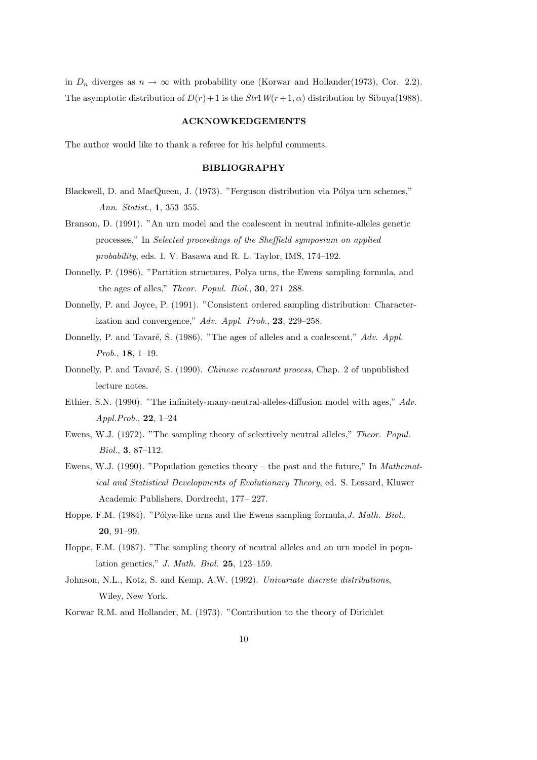in  $D_n$  diverges as  $n \to \infty$  with probability one (Korwar and Hollander(1973), Cor. 2.2). The asymptotic distribution of  $D(r) + 1$  is the *Str*1*W*( $r + 1, \alpha$ ) distribution by Sibuya(1988).

#### **ACKNOWKEDGEMENTS**

The author would like to thank a referee for his helpful comments.

## **BIBLIOGRAPHY**

- Blackwell, D. and MacQueen, J. (1973). "Ferguson distribution via Pólya urn schemes," *Ann*. *Statist*., **1**, 353–355.
- Branson, D. (1991). "An urn model and the coalescent in neutral infinite-alleles genetic processes," In *Selected proceedings of the Sheffield symposium on applied probability*, eds. I. V. Basawa and R. L. Taylor, IMS, 174–192.
- Donnelly, P. (1986). "Partition structures, Polya urns, the Ewens sampling formula, and the ages of alles," *Theor. Popul. Biol.*, **30**, 271–288.
- Donnelly, P. and Joyce, P. (1991). "Consistent ordered sampling distribution: Characterization and convergence," *Adv. Appl. Prob*., **23**, 229–258.
- Donnelly, P. and Tavaré, S. (1986). "The ages of alleles and a coalescent," *Adv. Appl. Prob*., **18**, 1–19.
- Donnelly, P. and Tavaré, S. (1990). *Chinese restaurant process*, Chap. 2 of unpublished lecture notes.
- Ethier, S.N. (1990). "The infinitely-many-neutral-alleles-diffusion model with ages," *Adv. Appl.Prob.*, **22**, 1–24
- Ewens, W.J. (1972). "The sampling theory of selectively neutral alleles," *Theor. Popul. Biol.*, **3**, 87–112.
- Ewens, W.J. (1990). "Population genetics theory the past and the future," In *Mathematical and Statistical Developments of Evolutionary Theory*, ed. S. Lessard, Kluwer Academic Publishers, Dordrecht, 177– 227.
- Hoppe, F.M. (1984). "Pólya-like urns and the Ewens sampling formula, *J. Math. Biol.*, **20**, 91–99.
- Hoppe, F.M. (1987). "The sampling theory of neutral alleles and an urn model in population genetics," *J. Math. Biol.* **25**, 123–159.
- Johnson, N.L., Kotz, S. and Kemp, A.W. (1992). *Univariate discrete distributions*, Wiley, New York.
- Korwar R.M. and Hollander, M. (1973). "Contribution to the theory of Dirichlet